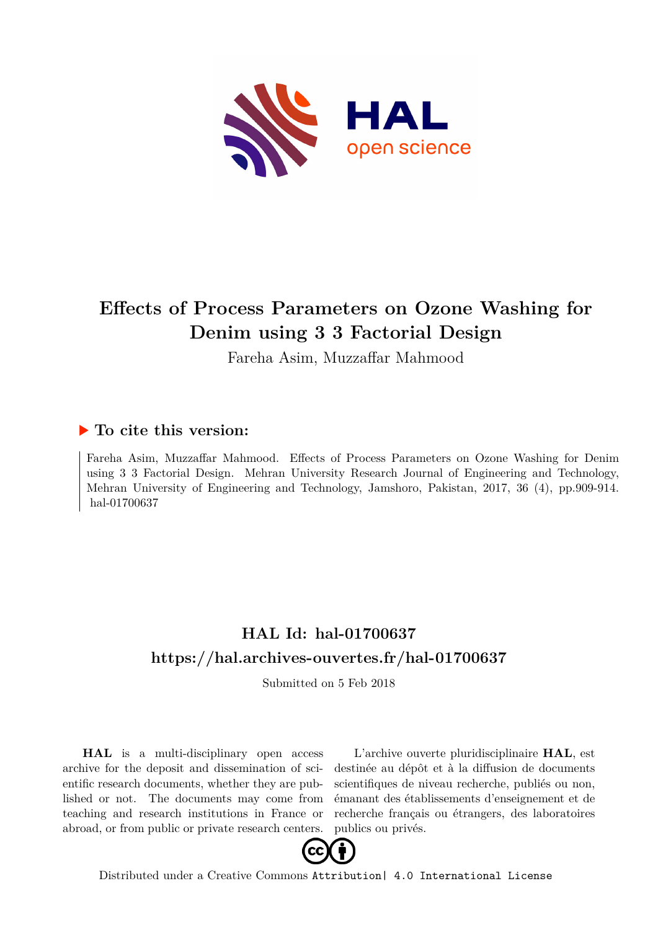

# **Effects of Process Parameters on Ozone Washing for Denim using 3 3 Factorial Design**

Fareha Asim, Muzzaffar Mahmood

# **To cite this version:**

Fareha Asim, Muzzaffar Mahmood. Effects of Process Parameters on Ozone Washing for Denim using 3 3 Factorial Design. Mehran University Research Journal of Engineering and Technology, Mehran University of Engineering and Technology, Jamshoro, Pakistan, 2017, 36 (4), pp.909-914. hal-01700637

# **HAL Id: hal-01700637 <https://hal.archives-ouvertes.fr/hal-01700637>**

Submitted on 5 Feb 2018

**HAL** is a multi-disciplinary open access archive for the deposit and dissemination of scientific research documents, whether they are published or not. The documents may come from teaching and research institutions in France or abroad, or from public or private research centers.

L'archive ouverte pluridisciplinaire **HAL**, est destinée au dépôt et à la diffusion de documents scientifiques de niveau recherche, publiés ou non, émanant des établissements d'enseignement et de recherche français ou étrangers, des laboratoires publics ou privés.



Distributed under a Creative Commons [Attribution| 4.0 International License](http://creativecommons.org/licenses/by/4.0/)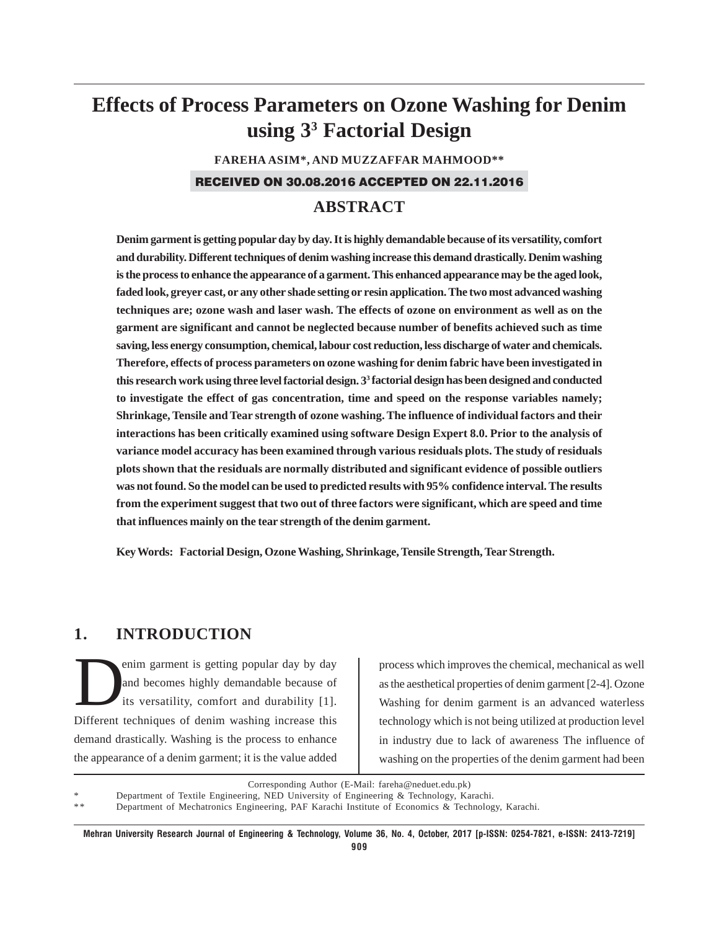# **Effects of Process Parameters on Ozone Washing for Denim using 33 Factorial Design**

**FAREHA ASIM\*, AND MUZZAFFAR MAHMOOD\*\***

#### RECEIVED ON 30.08.2016 ACCEPTED ON 22.11.2016

# **ABSTRACT**

**Denim garment is getting popular day by day. It is highly demandable because of its versatility, comfort and durability. Different techniques of denim washing increase this demand drastically. Denim washing is the process to enhance the appearance of a garment. This enhanced appearance may be the aged look, faded look, greyer cast, or any other shade setting or resin application. The two most advanced washing techniques are; ozone wash and laser wash. The effects of ozone on environment as well as on the garment are significant and cannot be neglected because number of benefits achieved such as time saving, less energy consumption, chemical, labour cost reduction, less discharge of water and chemicals. Therefore, effects of process parameters on ozone washing for denim fabric have been investigated in this research work using three level factorial design. 33 factorial design has been designed and conducted to investigate the effect of gas concentration, time and speed on the response variables namely; Shrinkage, Tensile and Tear strength of ozone washing. The influence of individual factors and their interactions has been critically examined using software Design Expert 8.0. Prior to the analysis of variance model accuracy has been examined through various residuals plots. The study of residuals plots shown that the residuals are normally distributed and significant evidence of possible outliers was not found. So the model can be used to predicted results with 95% confidence interval. The results from the experiment suggest that two out of three factors were significant, which are speed and time that influences mainly on the tear strength of the denim garment.**

**Key Words: Factorial Design, Ozone Washing, Shrinkage, Tensile Strength, Tear Strength.**

# **1. INTRODUCTION**

enim garment is getting popular day by day and becomes highly demandable because of its versatility, comfort and durability [1]. Different techniques of denim washing increase this demand drastically. Washing is the process to enhance the appearance of a denim garment; it is the value added

process which improves the chemical, mechanical as well as the aesthetical properties of denim garment [2-4]. Ozone Washing for denim garment is an advanced waterless technology which is not being utilized at production level in industry due to lack of awareness The influence of washing on the properties of the denim garment had been

Corresponding Author (E-Mail: fareha@neduet.edu.pk)

Department of Textile Engineering, NED University of Engineering & Technology, Karachi.

Department of Mechatronics Engineering, PAF Karachi Institute of Economics & Technology, Karachi.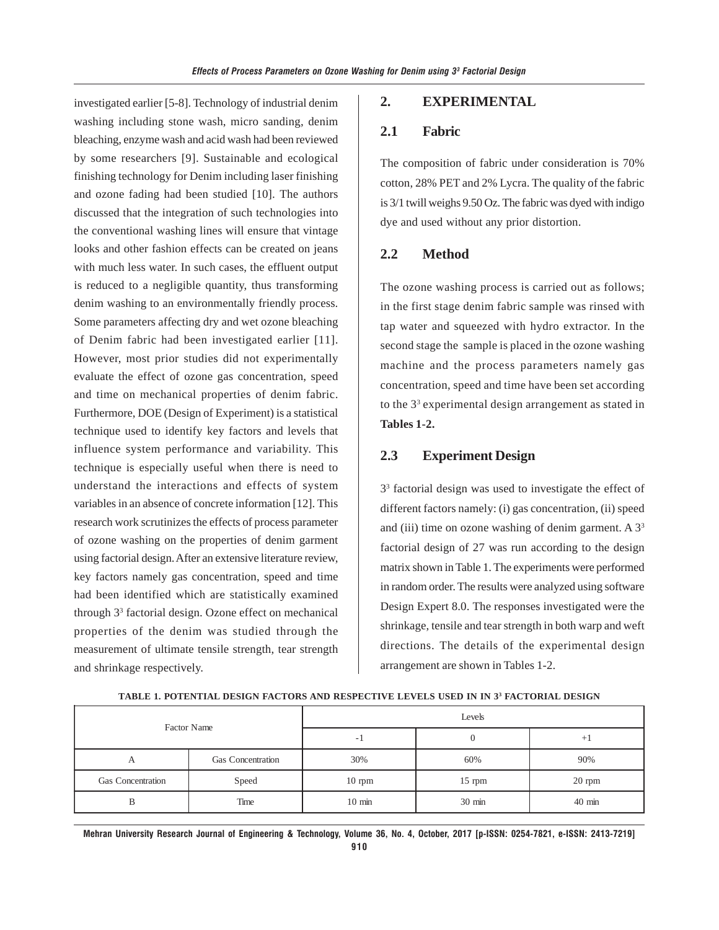investigated earlier [5-8]. Technology of industrial denim washing including stone wash, micro sanding, denim bleaching, enzyme wash and acid wash had been reviewed by some researchers [9]. Sustainable and ecological finishing technology for Denim including laser finishing and ozone fading had been studied [10]. The authors discussed that the integration of such technologies into the conventional washing lines will ensure that vintage looks and other fashion effects can be created on jeans with much less water. In such cases, the effluent output is reduced to a negligible quantity, thus transforming denim washing to an environmentally friendly process. Some parameters affecting dry and wet ozone bleaching of Denim fabric had been investigated earlier [11]. However, most prior studies did not experimentally evaluate the effect of ozone gas concentration, speed and time on mechanical properties of denim fabric. Furthermore, DOE (Design of Experiment) is a statistical technique used to identify key factors and levels that influence system performance and variability. This technique is especially useful when there is need to understand the interactions and effects of system variables in an absence of concrete information [12]. This research work scrutinizes the effects of process parameter of ozone washing on the properties of denim garment using factorial design. After an extensive literature review, key factors namely gas concentration, speed and time had been identified which are statistically examined through 33 factorial design. Ozone effect on mechanical properties of the denim was studied through the measurement of ultimate tensile strength, tear strength and shrinkage respectively.

#### **2. EXPERIMENTAL**

#### **2.1 Fabric**

The composition of fabric under consideration is 70% cotton, 28% PET and 2% Lycra. The quality of the fabric is 3/1 twill weighs 9.50 Oz. The fabric was dyed with indigo dye and used without any prior distortion.

### **2.2 Method**

The ozone washing process is carried out as follows; in the first stage denim fabric sample was rinsed with tap water and squeezed with hydro extractor. In the second stage the sample is placed in the ozone washing machine and the process parameters namely gas concentration, speed and time have been set according to the 33 experimental design arrangement as stated in **Tables 1-2.**

## **2.3 Experiment Design**

3<sup>3</sup> factorial design was used to investigate the effect of different factors namely: (i) gas concentration, (ii) speed and (iii) time on ozone washing of denim garment. A  $3<sup>3</sup>$ factorial design of 27 was run according to the design matrix shown in Table 1. The experiments were performed in random order. The results were analyzed using software Design Expert 8.0. The responses investigated were the shrinkage, tensile and tear strength in both warp and weft directions. The details of the experimental design arrangement are shown in Tables 1-2.

| Factor Name       |                          | Levels                   |                  |                  |  |
|-------------------|--------------------------|--------------------------|------------------|------------------|--|
|                   |                          | $\overline{\phantom{a}}$ |                  |                  |  |
| А                 | <b>Gas Concentration</b> | 30%                      | 60%              | 90%              |  |
| Gas Concentration | Speed                    | $10$ rpm                 | $15$ rpm         | $20$ rpm         |  |
| В                 | Time                     | $10 \text{ min}$         | $30 \text{ min}$ | $40 \text{ min}$ |  |

**TABLE 1. POTENTIAL DESIGN FACTORS AND RESPECTIVE LEVELS USED IN IN 33 FACTORIAL DESIGN**

**Mehran University Research Journal of Engineering & Technology, Volume 36, No. 4, October, 2017 [p-ISSN: 0254-7821, e-ISSN: 2413-7219] 910**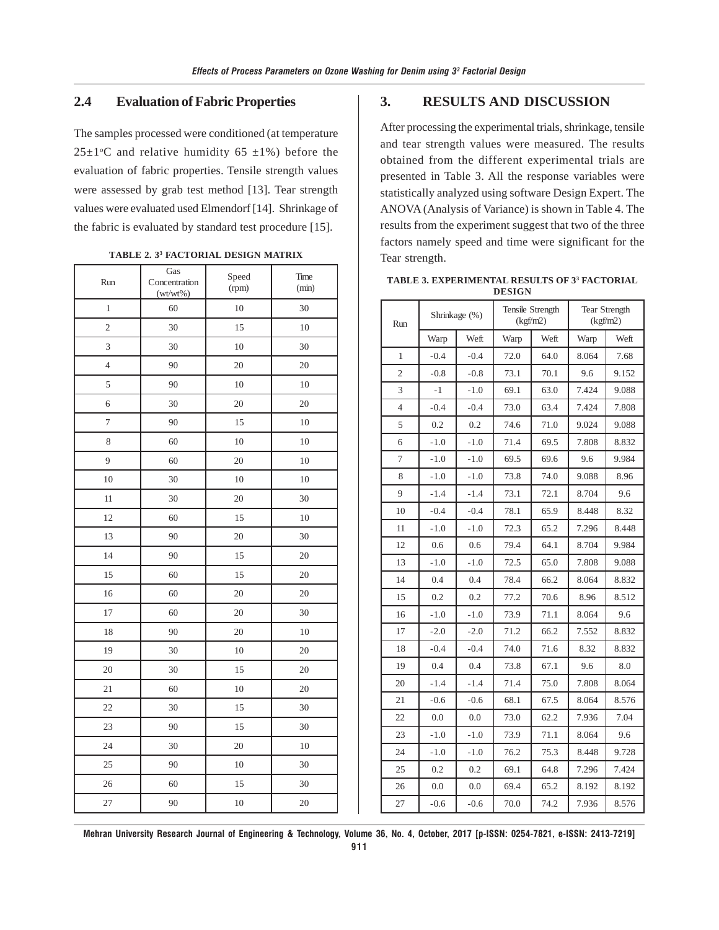### **2.4 Evaluation of Fabric Properties**

The samples processed were conditioned (at temperature  $25 \pm 1$ <sup>o</sup>C and relative humidity 65  $\pm 1\%$ ) before the evaluation of fabric properties. Tensile strength values were assessed by grab test method [13]. Tear strength values were evaluated used Elmendorf [14]. Shrinkage of the fabric is evaluated by standard test procedure [15].

| Run            | Gas<br>Concentration<br>$(wt/wt\%)$ | Speed<br>(rpm) | Time<br>(min) |
|----------------|-------------------------------------|----------------|---------------|
| $\mathbf{1}$   | 60                                  | 10             | 30            |
| $\overline{c}$ | 30                                  | 15             | 10            |
| 3              | 30                                  | 10             | 30            |
| $\overline{4}$ | 90                                  | 20             | 20            |
| 5              | 90                                  | 10             | 10            |
| 6              | 30                                  | 20             | 20            |
| $\overline{7}$ | 90                                  | 15             | $10\,$        |
| 8              | 60                                  | 10             | 10            |
| 9              | 60                                  | 20             | 10            |
| 10             | 30                                  | 10             | 10            |
| 11             | 30                                  | 20             | 30            |
| 12             | 60                                  | 15             | 10            |
| 13             | 90                                  | 20             | 30            |
| 14             | 90                                  | 15             | 20            |
| 15             | 60                                  | 15             | 20            |
| 16             | 60                                  | 20             | 20            |
| 17             | 60                                  | 20             | 30            |
| 18             | 90                                  | 20             | 10            |
| 19             | 30                                  | 10             | 20            |
| 20             | 30                                  | 15             | 20            |
| 21             | 60                                  | 10             | 20            |
| 22             | 30                                  | 15             | 30            |
| 23             | 90                                  | 15             | 30            |
| 24             | 30                                  | 20             | 10            |
| 25             | 90                                  | 10             | 30            |
| 26             | 60                                  | 15             | 30            |
| 27             | 90                                  | 10             | 20            |

**TABLE 2. 33 FACTORIAL DESIGN MATRIX**

## **3. RESULTS AND DISCUSSION**

After processing the experimental trials, shrinkage, tensile and tear strength values were measured. The results obtained from the different experimental trials are presented in Table 3. All the response variables were statistically analyzed using software Design Expert. The ANOVA (Analysis of Variance) is shown in Table 4. The results from the experiment suggest that two of the three factors namely speed and time were significant for the Tear strength.

| Run            | Shrinkage (%) |        | Tensile Strength<br>(kgf/m2) |      | <b>Tear Strength</b><br>(kgf/m2) |       |
|----------------|---------------|--------|------------------------------|------|----------------------------------|-------|
|                | Warp          | Weft   | Warp                         | Weft | Warp                             | Weft  |
| 1              | $-0.4$        | $-0.4$ | 72.0                         | 64.0 | 8.064                            | 7.68  |
| $\overline{2}$ | $-0.8$        | $-0.8$ | 73.1                         | 70.1 | 9.6                              | 9.152 |
| 3              | $-1$          | $-1.0$ | 69.1                         | 63.0 | 7.424                            | 9.088 |
| 4              | $-0.4$        | $-0.4$ | 73.0                         | 63.4 | 7.424                            | 7.808 |
| 5              | 0.2           | 0.2    | 74.6                         | 71.0 | 9.024                            | 9.088 |
| 6              | $-1.0$        | $-1.0$ | 71.4                         | 69.5 | 7.808                            | 8.832 |
| 7              | $-1.0$        | $-1.0$ | 69.5                         | 69.6 | 9.6                              | 9.984 |
| 8              | $-1.0$        | $-1.0$ | 73.8                         | 74.0 | 9.088                            | 8.96  |
| 9              | $-1.4$        | $-1.4$ | 73.1                         | 72.1 | 8.704                            | 9.6   |
| 10             | $-0.4$        | $-0.4$ | 78.1                         | 65.9 | 8.448                            | 8.32  |
| 11             | $-1.0$        | $-1.0$ | 72.3                         | 65.2 | 7.296                            | 8.448 |
| 12             | 0.6           | 0.6    | 79.4                         | 64.1 | 8.704                            | 9.984 |
| 13             | $-1.0$        | $-1.0$ | 72.5                         | 65.0 | 7.808                            | 9.088 |
| 14             | 0.4           | 0.4    | 78.4                         | 66.2 | 8.064                            | 8.832 |
| 15             | 0.2           | 0.2    | 77.2                         | 70.6 | 8.96                             | 8.512 |
| 16             | $-1.0$        | $-1.0$ | 73.9                         | 71.1 | 8.064                            | 9.6   |
| 17             | $-2.0$        | $-2.0$ | 71.2                         | 66.2 | 7.552                            | 8.832 |
| 18             | $-0.4$        | $-0.4$ | 74.0                         | 71.6 | 8.32                             | 8.832 |
| 19             | 0.4           | 0.4    | 73.8                         | 67.1 | 9.6                              | 8.0   |
| 20             | $-1.4$        | $-1.4$ | 71.4                         | 75.0 | 7.808                            | 8.064 |
| 21             | $-0.6$        | $-0.6$ | 68.1                         | 67.5 | 8.064                            | 8.576 |
| 22             | 0.0           | 0.0    | 73.0                         | 62.2 | 7.936                            | 7.04  |
| 23             | $-1.0$        | $-1.0$ | 73.9                         | 71.1 | 8.064                            | 9.6   |
| 24             | $-1.0$        | $-1.0$ | 76.2                         | 75.3 | 8.448                            | 9.728 |
| 25             | 0.2           | 0.2    | 69.1                         | 64.8 | 7.296                            | 7.424 |
| 26             | 0.0           | 0.0    | 69.4                         | 65.2 | 8.192                            | 8.192 |
| 27             | $-0.6$        | $-0.6$ | 70.0                         | 74.2 | 7.936                            | 8.576 |

**TABLE 3. EXPERIMENTAL RESULTS OF 33 FACTORIAL DESIGN**

**Mehran University Research Journal of Engineering & Technology, Volume 36, No. 4, October, 2017 [p-ISSN: 0254-7821, e-ISSN: 2413-7219]**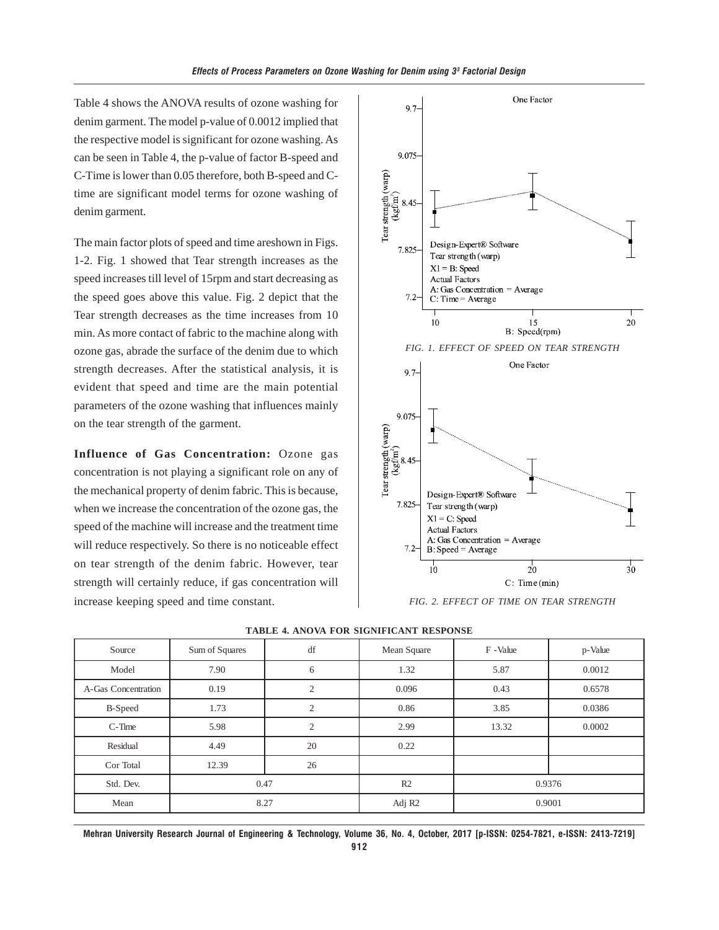Table 4 shows the ANOVA results of ozone washing for denim garment. The model p-value of 0.0012 implied that the respective model is significant for ozone washing. As can be seen in Table 4, the p-value of factor B-speed and C-Time is lower than 0.05 therefore, both B-speed and Ctime are significant model terms for ozone washing of denim garment.

The main factor plots of speed and time areshown in Figs. 1-2. Fig. 1 showed that Tear strength increases as the speed increases till level of 15rpm and start decreasing as the speed goes above this value. Fig. 2 depict that the Tear strength decreases as the time increases from 10 min. As more contact of fabric to the machine along with ozone gas, abrade the surface of the denim due to which strength decreases. After the statistical analysis, it is evident that speed and time are the main potential parameters of the ozone washing that influences mainly on the tear strength of the garment.

**Influence of Gas Concentration:** Ozone gas concentration is not playing a significant role on any of the mechanical property of denim fabric. This is because, when we increase the concentration of the ozone gas, the speed of the machine will increase and the treatment time will reduce respectively. So there is no noticeable effect on tear strength of the denim fabric. However, tear strength will certainly reduce, if gas concentration will increase keeping speed and time constant.



*FIG. 2. EFFECT OF TIME ON TEAR STRENGTH*

| TADLE 4. ARO VA FOR SIGNIFICANT RESI ONSE |                |                |                    |           |         |  |
|-------------------------------------------|----------------|----------------|--------------------|-----------|---------|--|
| Source                                    | Sum of Squares | df             | Mean Square        | F - Value | p-Value |  |
| Model                                     | 7.90           | 6              | 1.32               | 5.87      | 0.0012  |  |
| A-Gas Concentration                       | 0.19           | 2              | 0.096              | 0.43      | 0.6578  |  |
| B-Speed                                   | 1.73           | $\overline{2}$ | 0.86               | 3.85      | 0.0386  |  |
| $C$ -Time                                 | 5.98           | $\overline{2}$ | 2.99               | 13.32     | 0.0002  |  |
| Residual                                  | 4.49           | 20             | 0.22               |           |         |  |
| Cor Total                                 | 12.39          | 26             |                    |           |         |  |
| Std. Dev.                                 | 0.47           |                | R2                 | 0.9376    |         |  |
| Mean                                      | 8.27           |                | Adj R <sub>2</sub> | 0.9001    |         |  |

#### **4. ANOVA FOR SIGNIFICANT RESPONSE**

**Mehran University Research Journal of Engineering & Technology, Volume 36, No. 4, October, 2017 [p-ISSN: 0254-7821, e-ISSN: 2413-7219]**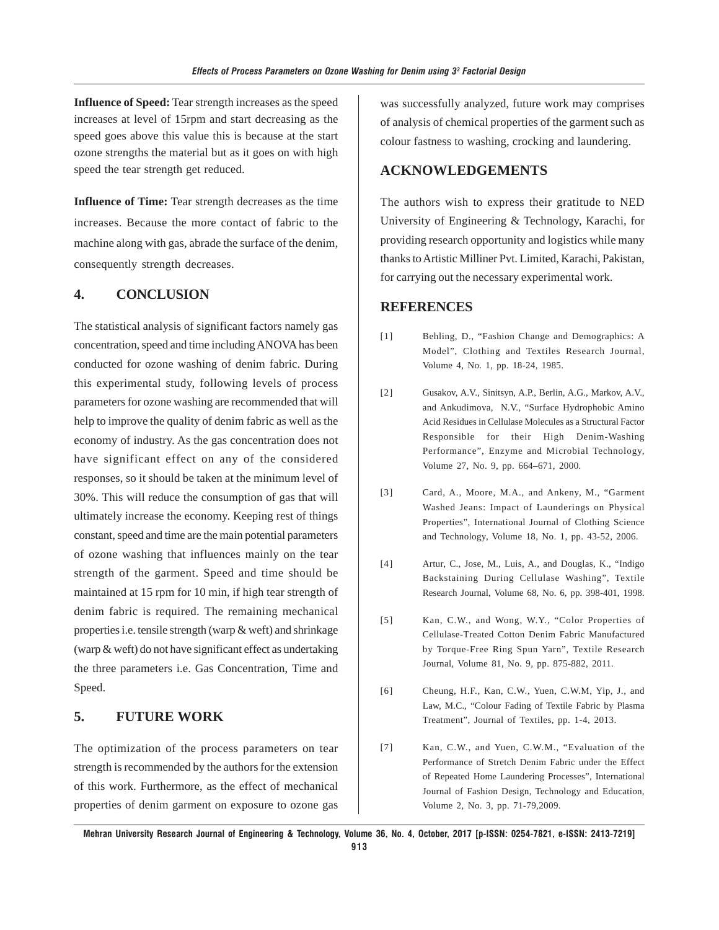**Influence of Speed:** Tear strength increases as the speed increases at level of 15rpm and start decreasing as the speed goes above this value this is because at the start ozone strengths the material but as it goes on with high speed the tear strength get reduced.

**Influence of Time:** Tear strength decreases as the time increases. Because the more contact of fabric to the machine along with gas, abrade the surface of the denim, consequently strength decreases.

## **4. CONCLUSION**

The statistical analysis of significant factors namely gas concentration, speed and time including ANOVA has been conducted for ozone washing of denim fabric. During this experimental study, following levels of process parameters for ozone washing are recommended that will help to improve the quality of denim fabric as well as the economy of industry. As the gas concentration does not have significant effect on any of the considered responses, so it should be taken at the minimum level of 30%. This will reduce the consumption of gas that will ultimately increase the economy. Keeping rest of things constant, speed and time are the main potential parameters of ozone washing that influences mainly on the tear strength of the garment. Speed and time should be maintained at 15 rpm for 10 min, if high tear strength of denim fabric is required. The remaining mechanical properties i.e. tensile strength (warp & weft) and shrinkage (warp & weft) do not have significant effect as undertaking the three parameters i.e. Gas Concentration, Time and Speed.

## **5. FUTURE WORK**

The optimization of the process parameters on tear strength is recommended by the authors for the extension of this work. Furthermore, as the effect of mechanical properties of denim garment on exposure to ozone gas was successfully analyzed, future work may comprises of analysis of chemical properties of the garment such as colour fastness to washing, crocking and laundering.

#### **ACKNOWLEDGEMENTS**

The authors wish to express their gratitude to NED University of Engineering & Technology, Karachi, for providing research opportunity and logistics while many thanks to Artistic Milliner Pvt. Limited, Karachi, Pakistan, for carrying out the necessary experimental work.

#### **REFERENCES**

- [1] Behling, D., "Fashion Change and Demographics: A Model", Clothing and Textiles Research Journal, Volume 4, No. 1, pp. 18-24, 1985.
- [2] Gusakov, A.V., Sinitsyn, A.P., Berlin, A.G., Markov, A.V., and Ankudimova, N.V., "Surface Hydrophobic Amino Acid Residues in Cellulase Molecules as a Structural Factor Responsible for their High Denim-Washing Performance", Enzyme and Microbial Technology, Volume 27, No. 9, pp. 664–671, 2000.
- [3] Card, A., Moore, M.A., and Ankeny, M., "Garment Washed Jeans: Impact of Launderings on Physical Properties", International Journal of Clothing Science and Technology, Volume 18, No. 1, pp. 43-52, 2006.
- [4] Artur, C., Jose, M., Luis, A., and Douglas, K., "Indigo Backstaining During Cellulase Washing", Textile Research Journal, Volume 68, No. 6, pp. 398-401, 1998.
- [5] Kan, C.W., and Wong, W.Y., "Color Properties of Cellulase-Treated Cotton Denim Fabric Manufactured by Torque-Free Ring Spun Yarn", Textile Research Journal, Volume 81, No. 9, pp. 875-882, 2011.
- [6] Cheung, H.F., Kan, C.W., Yuen, C.W.M, Yip, J., and Law, M.C., "Colour Fading of Textile Fabric by Plasma Treatment", Journal of Textiles, pp. 1-4, 2013.
- [7] Kan, C.W., and Yuen, C.W.M., "Evaluation of the Performance of Stretch Denim Fabric under the Effect of Repeated Home Laundering Processes", International Journal of Fashion Design, Technology and Education, Volume 2, No. 3, pp. 71-79,2009.